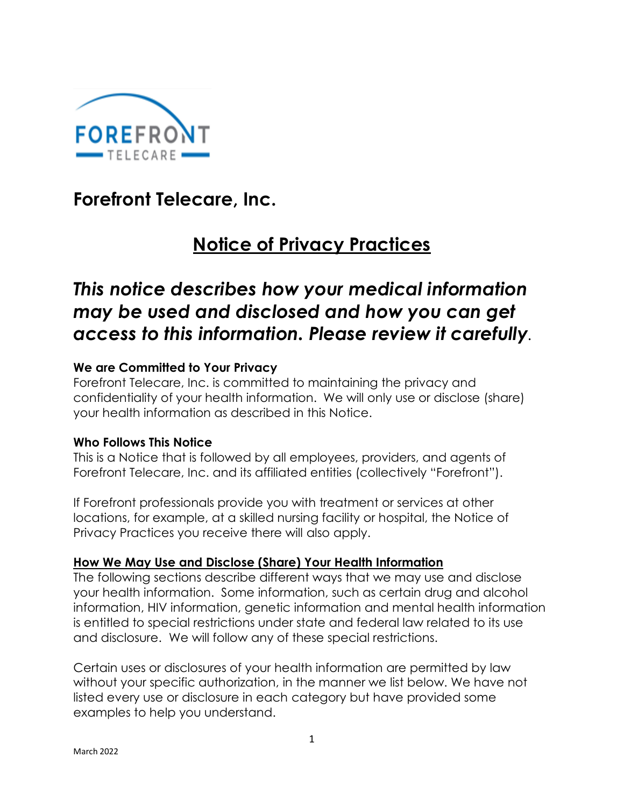

**Forefront Telecare, Inc.**

# **Notice of Privacy Practices**

## *This notice describes how your medical information may be used and disclosed and how you can get access to this information. Please review it carefully.*

## **We are Committed to Your Privacy**

Forefront Telecare, Inc. is committed to maintaining the privacy and confidentiality of your health information. We will only use or disclose (share) your health information as described in this Notice.

#### **Who Follows This Notice**

This is a Notice that is followed by all employees, providers, and agents of Forefront Telecare, Inc. and its affiliated entities (collectively "Forefront").

If Forefront professionals provide you with treatment or services at other locations, for example, at a skilled nursing facility or hospital, the Notice of Privacy Practices you receive there will also apply.

#### **How We May Use and Disclose (Share) Your Health Information**

The following sections describe different ways that we may use and disclose your health information. Some information, such as certain drug and alcohol information, HIV information, genetic information and mental health information is entitled to special restrictions under state and federal law related to its use and disclosure. We will follow any of these special restrictions.

Certain uses or disclosures of your health information are permitted by law without your specific authorization, in the manner we list below. We have not listed every use or disclosure in each category but have provided some examples to help you understand.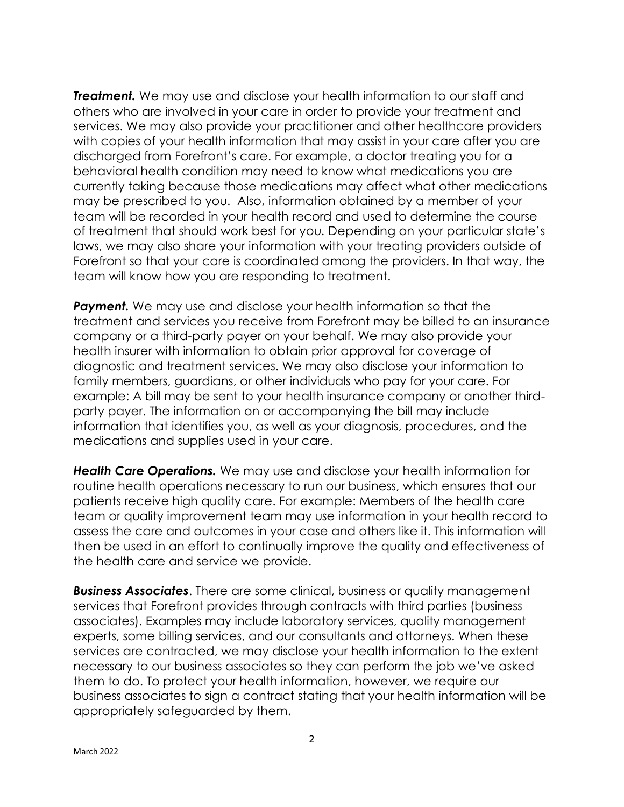*Treatment.* We may use and disclose your health information to our staff and others who are involved in your care in order to provide your treatment and services. We may also provide your practitioner and other healthcare providers with copies of your health information that may assist in your care after you are discharged from Forefront's care. For example, a doctor treating you for a behavioral health condition may need to know what medications you are currently taking because those medications may affect what other medications may be prescribed to you. Also, information obtained by a member of your team will be recorded in your health record and used to determine the course of treatment that should work best for you. Depending on your particular state's laws, we may also share your information with your treating providers outside of Forefront so that your care is coordinated among the providers. In that way, the team will know how you are responding to treatment.

**Payment.** We may use and disclose your health information so that the treatment and services you receive from Forefront may be billed to an insurance company or a third-party payer on your behalf. We may also provide your health insurer with information to obtain prior approval for coverage of diagnostic and treatment services. We may also disclose your information to family members, guardians, or other individuals who pay for your care. For example: A bill may be sent to your health insurance company or another thirdparty payer. The information on or accompanying the bill may include information that identifies you, as well as your diagnosis, procedures, and the medications and supplies used in your care.

*Health Care Operations.* We may use and disclose your health information for routine health operations necessary to run our business, which ensures that our patients receive high quality care. For example: Members of the health care team or quality improvement team may use information in your health record to assess the care and outcomes in your case and others like it. This information will then be used in an effort to continually improve the quality and effectiveness of the health care and service we provide.

*Business Associates*. There are some clinical, business or quality management services that Forefront provides through contracts with third parties (business associates). Examples may include laboratory services, quality management experts, some billing services, and our consultants and attorneys. When these services are contracted, we may disclose your health information to the extent necessary to our business associates so they can perform the job we've asked them to do. To protect your health information, however, we require our business associates to sign a contract stating that your health information will be appropriately safeguarded by them.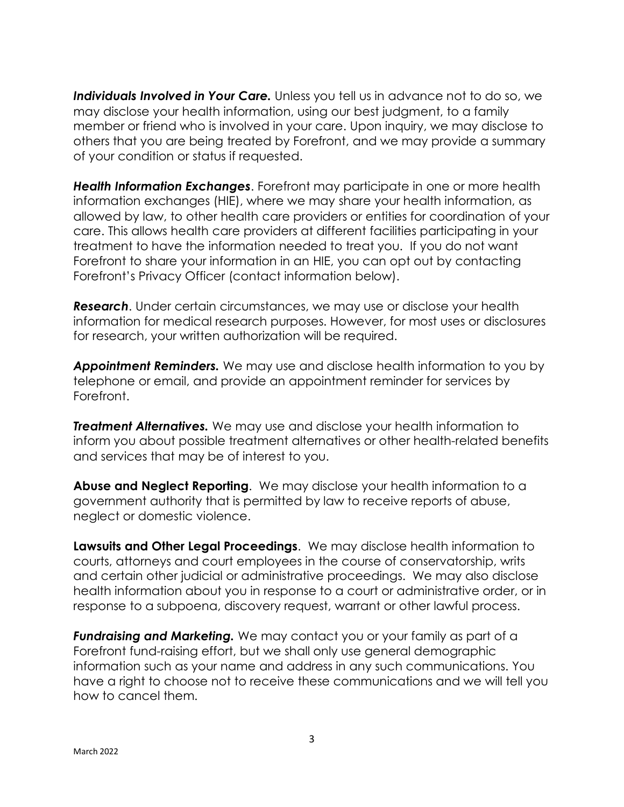**Individuals Involved in Your Care.** Unless you tell us in advance not to do so, we may disclose your health information, using our best judgment, to a family member or friend who is involved in your care. Upon inquiry, we may disclose to others that you are being treated by Forefront, and we may provide a summary of your condition or status if requested.

*Health Information Exchanges*. Forefront may participate in one or more health information exchanges (HIE), where we may share your health information, as allowed by law, to other health care providers or entities for coordination of your care. This allows health care providers at different facilities participating in your treatment to have the information needed to treat you. If you do not want Forefront to share your information in an HIE, you can opt out by contacting Forefront's Privacy Officer (contact information below).

*Research*. Under certain circumstances, we may use or disclose your health information for medical research purposes. However, for most uses or disclosures for research, your written authorization will be required.

*Appointment Reminders.* We may use and disclose health information to you by telephone or email, and provide an appointment reminder for services by Forefront.

*Treatment Alternatives.* We may use and disclose your health information to inform you about possible treatment alternatives or other health-related benefits and services that may be of interest to you.

**Abuse and Neglect Reporting**. We may disclose your health information to a government authority that is permitted by law to receive reports of abuse, neglect or domestic violence.

**Lawsuits and Other Legal Proceedings**. We may disclose health information to courts, attorneys and court employees in the course of conservatorship, writs and certain other judicial or administrative proceedings. We may also disclose health information about you in response to a court or administrative order, or in response to a subpoena, discovery request, warrant or other lawful process.

*Fundraising and Marketing.* We may contact you or your family as part of a Forefront fund-raising effort, but we shall only use general demographic information such as your name and address in any such communications. You have a right to choose not to receive these communications and we will tell you how to cancel them.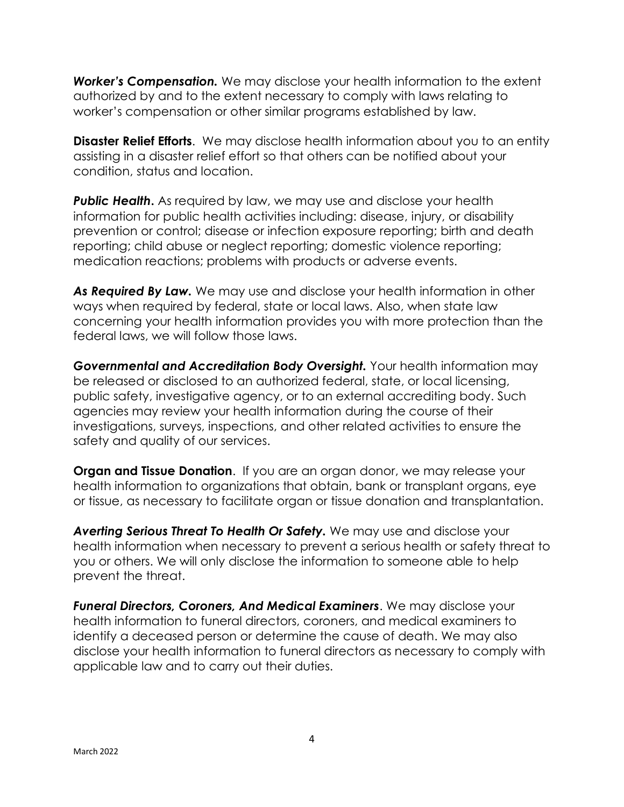*Worker's Compensation.* We may disclose your health information to the extent authorized by and to the extent necessary to comply with laws relating to worker's compensation or other similar programs established by law.

**Disaster Relief Efforts**. We may disclose health information about you to an entity assisting in a disaster relief effort so that others can be notified about your condition, status and location.

**Public Health.** As required by law, we may use and disclose your health information for public health activities including: disease, injury, or disability prevention or control; disease or infection exposure reporting; birth and death reporting; child abuse or neglect reporting; domestic violence reporting; medication reactions; problems with products or adverse events.

*As Required By Law.* We may use and disclose your health information in other ways when required by federal, state or local laws. Also, when state law concerning your health information provides you with more protection than the federal laws, we will follow those laws.

*Governmental and Accreditation Body Oversight.* Your health information may be released or disclosed to an authorized federal, state, or local licensing, public safety, investigative agency, or to an external accrediting body. Such agencies may review your health information during the course of their investigations, surveys, inspections, and other related activities to ensure the safety and quality of our services.

**Organ and Tissue Donation**. If you are an organ donor, we may release your health information to organizations that obtain, bank or transplant organs, eye or tissue, as necessary to facilitate organ or tissue donation and transplantation.

*Averting Serious Threat To Health Or Safety.* We may use and disclose your health information when necessary to prevent a serious health or safety threat to you or others. We will only disclose the information to someone able to help prevent the threat.

*Funeral Directors, Coroners, And Medical Examiners*. We may disclose your health information to funeral directors, coroners, and medical examiners to identify a deceased person or determine the cause of death. We may also disclose your health information to funeral directors as necessary to comply with applicable law and to carry out their duties.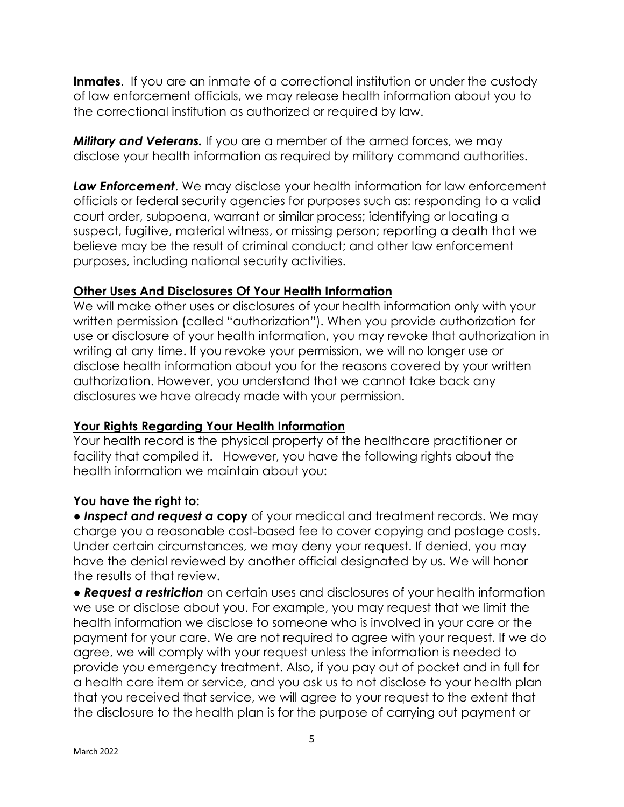**Inmates**. If you are an inmate of a correctional institution or under the custody of law enforcement officials, we may release health information about you to the correctional institution as authorized or required by law.

*Military and Veterans.* If you are a member of the armed forces, we may disclose your health information as required by military command authorities.

*Law Enforcement*. We may disclose your health information for law enforcement officials or federal security agencies for purposes such as: responding to a valid court order, subpoena, warrant or similar process; identifying or locating a suspect, fugitive, material witness, or missing person; reporting a death that we believe may be the result of criminal conduct; and other law enforcement purposes, including national security activities.

#### **Other Uses And Disclosures Of Your Health Information**

We will make other uses or disclosures of your health information only with your written permission (called "authorization"). When you provide authorization for use or disclosure of your health information, you may revoke that authorization in writing at any time. If you revoke your permission, we will no longer use or disclose health information about you for the reasons covered by your written authorization. However, you understand that we cannot take back any disclosures we have already made with your permission.

#### **Your Rights Regarding Your Health Information**

Your health record is the physical property of the healthcare practitioner or facility that compiled it. However, you have the following rights about the health information we maintain about you:

## **You have the right to:**

● *Inspect and request a* **copy** of your medical and treatment records. We may charge you a reasonable cost-based fee to cover copying and postage costs. Under certain circumstances, we may deny your request. If denied, you may have the denial reviewed by another official designated by us. We will honor the results of that review.

● *Request a restriction* on certain uses and disclosures of your health information we use or disclose about you. For example, you may request that we limit the health information we disclose to someone who is involved in your care or the payment for your care. We are not required to agree with your request. If we do agree, we will comply with your request unless the information is needed to provide you emergency treatment. Also, if you pay out of pocket and in full for a health care item or service, and you ask us to not disclose to your health plan that you received that service, we will agree to your request to the extent that the disclosure to the health plan is for the purpose of carrying out payment or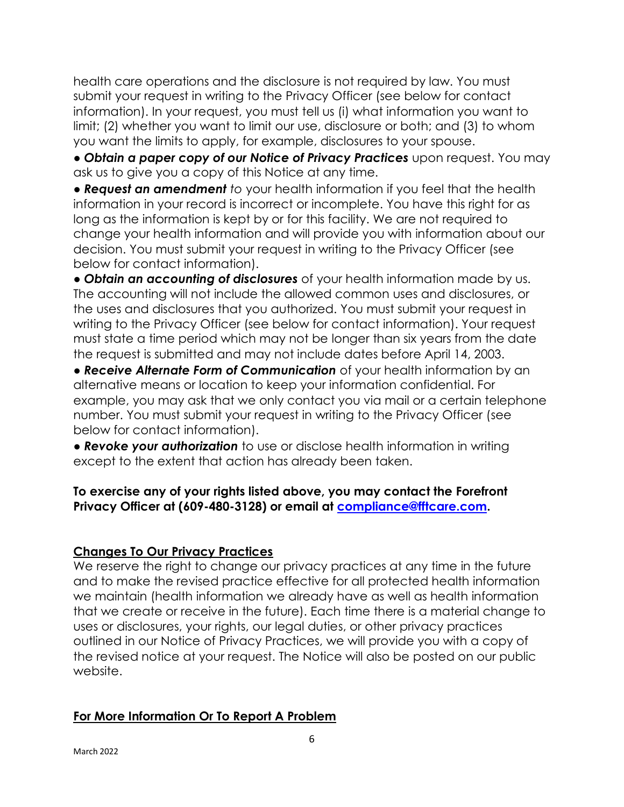health care operations and the disclosure is not required by law. You must submit your request in writing to the Privacy Officer (see below for contact information). In your request, you must tell us (i) what information you want to limit; (2) whether you want to limit our use, disclosure or both; and (3) to whom you want the limits to apply, for example, disclosures to your spouse.

● *Obtain a paper copy of our Notice of Privacy Practices* upon request. You may ask us to give you a copy of this Notice at any time.

● *Request an amendment to* your health information if you feel that the health information in your record is incorrect or incomplete. You have this right for as long as the information is kept by or for this facility. We are not required to change your health information and will provide you with information about our decision. You must submit your request in writing to the Privacy Officer (see below for contact information).

● *Obtain an accounting of disclosures* of your health information made by us. The accounting will not include the allowed common uses and disclosures, or the uses and disclosures that you authorized. You must submit your request in writing to the Privacy Officer (see below for contact information). Your request must state a time period which may not be longer than six years from the date the request is submitted and may not include dates before April 14, 2003.

● *Receive Alternate Form of Communication* of your health information by an alternative means or location to keep your information confidential. For example, you may ask that we only contact you via mail or a certain telephone number. You must submit your request in writing to the Privacy Officer (see below for contact information).

● *Revoke your authorization* to use or disclose health information in writing except to the extent that action has already been taken.

#### **To exercise any of your rights listed above, you may contact the Forefront Privacy Officer at (609-480-3128) or email at [compliance@fftcare.com.](mailto:compliance@fftcare.com)**

## **Changes To Our Privacy Practices**

We reserve the right to change our privacy practices at any time in the future and to make the revised practice effective for all protected health information we maintain (health information we already have as well as health information that we create or receive in the future). Each time there is a material change to uses or disclosures, your rights, our legal duties, or other privacy practices outlined in our Notice of Privacy Practices, we will provide you with a copy of the revised notice at your request. The Notice will also be posted on our public website.

#### **For More Information Or To Report A Problem**